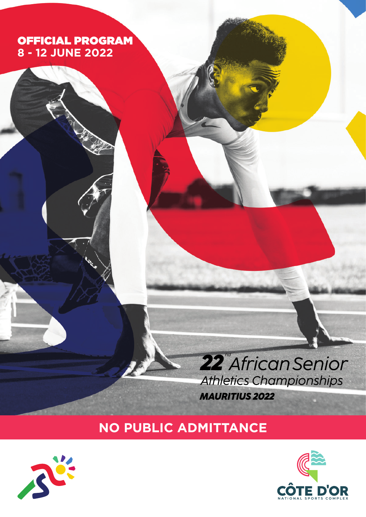#### OFFICIAL PROGRAM **8 - 12 JUNE 2022**

## 22<sup>"</sup>African Senior **Athletics Championships MAURITIUS 2022**

### **NO PUBLIC ADMITTANCE**



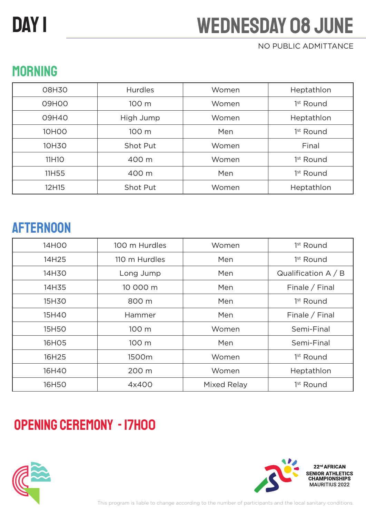# DAY I

# Wednesday 08 June

#### NO PUBLIC ADMITTANCE

| 08H30             | <b>Hurdles</b> | Women | Heptathlon            |
|-------------------|----------------|-------|-----------------------|
| 09H00             | 100 m          | Women | 1 <sup>st</sup> Round |
| 09H40             | High Jump      | Women | Heptathlon            |
| <b>10HOO</b>      | 100 m          | Men   | 1 <sup>st</sup> Round |
| 10H30             | Shot Put       | Women | Final                 |
| 11H <sub>10</sub> | 400 m          | Women | 1 <sup>st</sup> Round |
| 11H55             | 400 m          | Men   | 1 <sup>st</sup> Round |
| 12H15             | Shot Put       | Women | Heptathlon            |

### AFTERNOON

| 14H00 | 100 m Hurdles | Women       | 1 <sup>st</sup> Round |
|-------|---------------|-------------|-----------------------|
| 14H25 | 110 m Hurdles | Men         | 1 <sup>st</sup> Round |
| 14H30 | Long Jump     | Men         | Qualification $A / B$ |
| 14H35 | 10 000 m      | Men         | Finale / Final        |
| 15H30 | 800 m         | Men         | 1 <sup>st</sup> Round |
| 15H40 | Hammer        | Men         | Finale / Final        |
| 15H50 | 100 m         | Women       | Semi-Final            |
| 16H05 | 100 m         | Men         | Semi-Final            |
| 16H25 | 1500m         | Women       | 1 <sup>st</sup> Round |
| 16H40 | 200 m         | Women       | Heptathlon            |
| 16H50 | 4x400         | Mixed Relay | 1 <sup>st</sup> Round |

## Opening Ceremony - 17H00



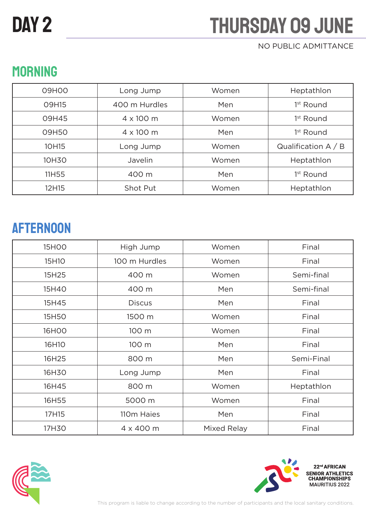# DAY<sub>2</sub>

# **THURSDAY 09 JUNE**

#### NO PUBLIC ADMITTANCE

| 09H00        | Long Jump        | Women | Heptathlon            |
|--------------|------------------|-------|-----------------------|
| <b>O9H15</b> | 400 m Hurdles    | Men   | 1 <sup>st</sup> Round |
| 09H45        | $4 \times 100$ m | Women | 1 <sup>st</sup> Round |
| 09H50        | $4 \times 100$ m | Men   | 1 <sup>st</sup> Round |
| 10H15        | Long Jump        | Women | Qualification $A / B$ |
| 10H30        | Javelin          | Women | Heptathlon            |
| 11H55        | 400 m            | Men   | 1 <sup>st</sup> Round |
| 12H15        | Shot Put         | Women | Heptathlon            |

### **MORNING**

## AFTERNOON

| <b>15HOO</b> | High Jump     | Women       | Final      |
|--------------|---------------|-------------|------------|
| 15H10        | 100 m Hurdles | Women       | Final      |
| 15H25        | 400 m         | Women       | Semi-final |
| 15H40        | 400 m         | Men         | Semi-final |
| 15H45        | <b>Discus</b> | Men         | Final      |
| 15H50        | 1500 m        | Women       | Final      |
| <b>16HOO</b> | 100 m         | Women       | Final      |
| 16H10        | 100 m         | Men         | Final      |
| 16H25        | 800 m         | Men         | Semi-Final |
| 16H30        | Long Jump     | Men         | Final      |
| 16H45        | 800 m         | Women       | Heptathlon |
| 16H55        | 5000 m        | Women       | Final      |
| 17H15        | 110m Haies    | Men         | Final      |
| 17H30        | 4 x 400 m     | Mixed Relay | Final      |



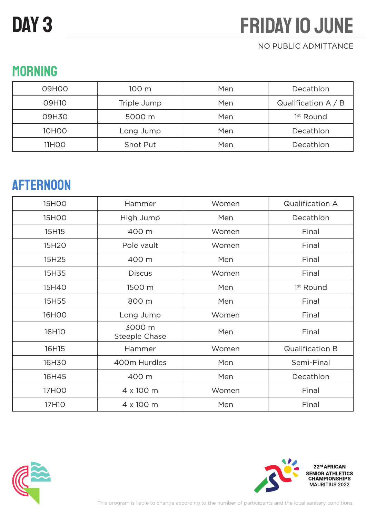#### NO PUBLIC ADMITTANCE

## **MORNING**

| 09H00             | 100 <sub>m</sub> | Men | Decathlon             |
|-------------------|------------------|-----|-----------------------|
| 09H10             | Triple Jump      | Men | Qualification $A / B$ |
| 09H30             | 5000 m           | Men | 1 <sup>st</sup> Round |
| 10H <sub>0</sub>  | Long Jump        | Men | Decathlon             |
| 11H <sub>00</sub> | Shot Put         | Men | Decathlon             |

### AFTERNOON

| <b>15HOO</b>       | Hammer                         | Women | <b>Qualification A</b> |
|--------------------|--------------------------------|-------|------------------------|
| 15H <sub>O</sub> O | High Jump                      | Men   | Decathlon              |
| 15H15              | 400 m                          | Women | Final                  |
| 15H20              | Pole vault                     | Women | Final                  |
| 15H25              | 400 m                          | Men   | Final                  |
| 15H35              | <b>Discus</b>                  | Women | Final                  |
| 15H40              | 1500 m                         | Men   | 1 <sup>st</sup> Round  |
| 15H55              | 800 m                          | Men   | Final                  |
| 16H00              | Long Jump                      | Women | Final                  |
| 16H10              | 3000 m<br><b>Steeple Chase</b> | Men   | Final                  |
| 16H15              | Hammer                         | Women | <b>Qualification B</b> |
| 16H30              | 400m Hurdles                   | Men   | Semi-Final             |
| 16H45              | 400 m                          | Men   | Decathlon              |
| 17H00              | 4 x 100 m                      | Women | Final                  |
| 17H10              | 4 x 100 m                      | Men   | Final                  |



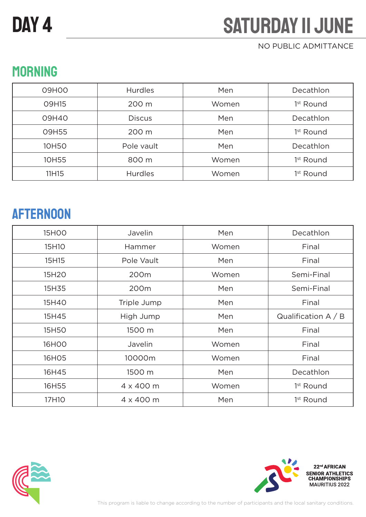# DAY<sub>4</sub>

# **SATURDAY II JUNE**

#### NO PUBLIC ADMITTANCE

## **MORNING**

| 09H00        | <b>Hurdles</b> | Men   | Decathlon             |
|--------------|----------------|-------|-----------------------|
| <b>O9H15</b> | 200 m          | Women | 1 <sup>st</sup> Round |
| 09H40        | <b>Discus</b>  | Men   | Decathlon             |
| 09H55        | 200 m          | Men   | 1 <sup>st</sup> Round |
| 10H50        | Pole vault     | Men   | Decathlon             |
| 10H55        | 800 m          | Women | 1 <sup>st</sup> Round |
| 11H15        | <b>Hurdles</b> | Women | 1 <sup>st</sup> Round |

### **AFTERNOON**

| <b>15HOO</b> | Javelin     | Men   | Decathlon             |
|--------------|-------------|-------|-----------------------|
| 15H10        | Hammer      | Women | Final                 |
| 15H15        | Pole Vault  | Men   | Final                 |
| 15H20        | 200m        | Women | Semi-Final            |
| 15H35        | 200m        | Men   | Semi-Final            |
| 15H40        | Triple Jump | Men   | Final                 |
| 15H45        | High Jump   | Men   | Qualification $A / B$ |
| 15H50        | 1500 m      | Men   | Final                 |
| 16HOO        | Javelin     | Women | Final                 |
| 16H05        | 10000m      | Women | Final                 |
| 16H45        | 1500 m      | Men   | Decathlon             |
| 16H55        | 4 x 400 m   | Women | 1 <sup>st</sup> Round |
| 17H10        | 4 x 400 m   | Men   | 1 <sup>st</sup> Round |